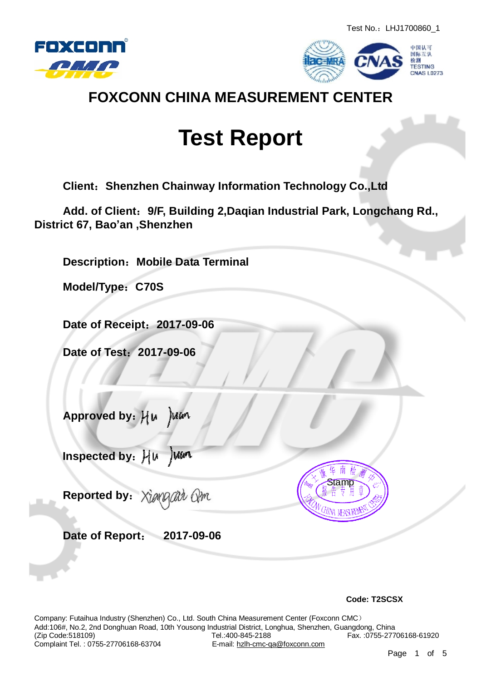



### **FOXCONN CHINA MEASUREMENT CENTER**

# **Test Report**

**Client:Shenzhen Chainway Information Technology Co.,Ltd** 

**Add. of Client:9/F, Building 2,Daqian Industrial Park, Longchang Rd., District 67, Bao'an ,Shenzhen** 

**Description:Mobile Data Terminal** 

**Model/Type:C70S** 

**Date of Receipt:2017-09-06** 

**Date of Test:2017-09-06** 

**Approved by:**

 **Inspected by:** Juan

**Reported by:** arr Am

**Date of Report: 2017-09-06** 



 **Code: T2SCSX** 

Company: Futaihua Industry (Shenzhen) Co., Ltd. South China Measurement Center (Foxconn CMC) Add:106#, No.2, 2nd Donghuan Road, 10th Yousong Industrial District, Longhua, Shenzhen, Guangdong, China Tel.:400-845-2188 Fax. :0755-27706168-61920<br>E-mail: hzlh-cmc-ga@foxconn.com Complaint Tel. : 0755-27706168-63704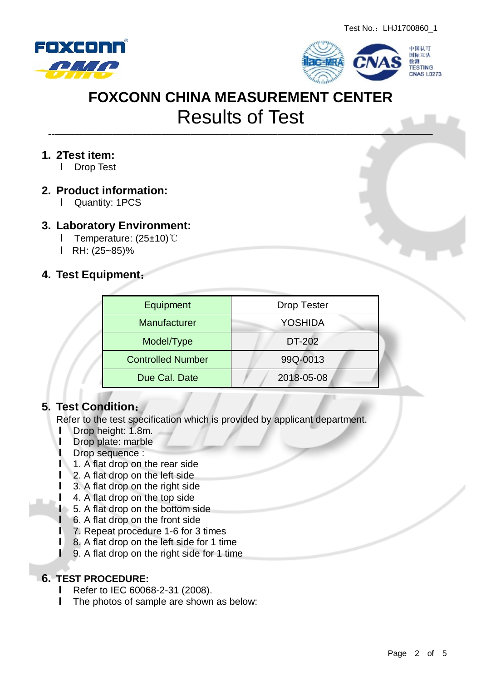



———————————————————————————————————————

#### **1. 2Test item:**

**I** Drop Test

#### **2. Product information:**

l Quantity: 1PCS

#### **3. Laboratory Environment:**

- l Temperature: (25±10)℃
- l RH: (25~85)%

#### **4. Test Equipment:**

| Equipment                | <b>Drop Tester</b> |  |  |
|--------------------------|--------------------|--|--|
| Manufacturer             | <b>YOSHIDA</b>     |  |  |
| Model/Type               | DT-202             |  |  |
| <b>Controlled Number</b> | 99Q-0013           |  |  |
| Due Cal. Date            | 2018-05-08         |  |  |

#### **5. Test Condition:**

Refer to the test specification which is provided by applicant department.

- **l** Drop height: 1.8m.
- **l** Drop plate: marble
- **l** Drop sequence :
- **l** 1. A flat drop on the rear side
- **l** 2. A flat drop on the left side
- **l** 3. A flat drop on the right side
- **l** 4. A flat drop on the top side
	- **l** 5. A flat drop on the bottom side
	- **l** 6. A flat drop on the front side
- **l** 7. Repeat procedure 1-6 for 3 times
- **l** 8. A flat drop on the left side for 1 time
- **l** 9. A flat drop on the right side for 1 time

#### **6. TEST PROCEDURE:**

- **l** Refer to IEC 60068-2-31 (2008).
- **l** The photos of sample are shown as below: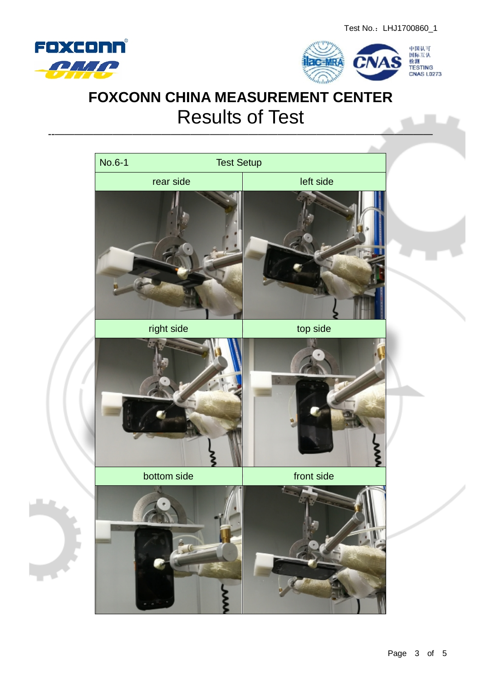



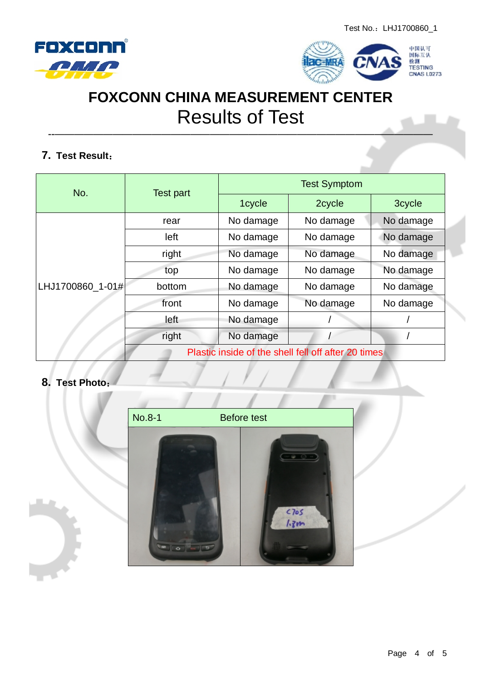



———————————————————————————————————————

### **7. Test Result:**

| No.              | Test part                                           | <b>Test Symptom</b> |           |           |  |
|------------------|-----------------------------------------------------|---------------------|-----------|-----------|--|
|                  |                                                     | 1cycle              | 2cycle    | 3cycle    |  |
| LHJ1700860_1-01# | rear                                                | No damage           | No damage | No damage |  |
|                  | left                                                | No damage           | No damage | No damage |  |
|                  | right                                               | No damage           | No damage | No damage |  |
|                  | top                                                 | No damage           | No damage | No damage |  |
|                  | bottom                                              | No damage           | No damage | No damage |  |
|                  | front                                               | No damage           | No damage | No damage |  |
|                  | left                                                | No damage           |           |           |  |
|                  | right                                               | No damage           |           |           |  |
|                  | Plastic inside of the shell fell off after 20 times |                     |           |           |  |

#### **8. Test Photo:**